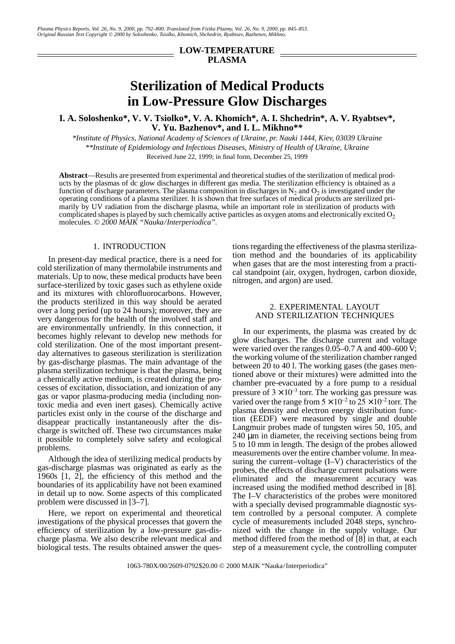Plasma Physics Reports, Vol. 26, No. 9, 2000, pp. 792–800. Translated from Fizika Plazmy, Vol. 26, No. 9, 2000, pp. 845–853.<br>Original Russian Text Copyright © 2000 by Soloshenko, Tsiolko, Khomich, Shchedrin, Ryabtsev, Bazh

**LOW-TEMPERATURE PLASMA**

# **Sterilization of Medical Products in Low-Pressure Glow Discharges**

**I. A. Soloshenko\*, V. V. Tsiolko\*, V. A. Khomich\*, A. I. Shchedrin\*, A. V. Ryabtsev\*, V. Yu. Bazhenov\*, and I. L. Mikhno\*\***

*\*Institute of Physics, National Academy of Sciences of Ukraine, pr. Nauki 1444, Kiev, 03039 Ukraine \*\*Institute of Epidemiology and Infectious Diseases, Ministry of Health of Ukraine, Ukraine* Received June 22, 1999; in final form, December 25, 1999

**Abstract**—Results are presented from experimental and theoretical studies of the sterilization of medical products by the plasmas of dc glow discharges in different gas media. The sterilization efficiency is obtained as a function of discharge parameters. The plasma composition in discharges in  $N_2$  and  $O_2$  is investigated under the operating conditions of a plasma sterilizer. It is shown that free surfaces of medical products are sterilized primarily by UV radiation from the discharge plasma, while an important role in sterilization of products with complicated shapes is played by such chemically active particles as oxygen atoms and electronically excited  $O<sub>2</sub>$ molecules. *© 2000 MAIK "Nauka/Interperiodica".*

### 1. INTRODUCTION

In present-day medical practice, there is a need for cold sterilization of many thermolabile instruments and materials. Up to now, these medical products have been surface-sterilized by toxic gases such as ethylene oxide and its mixtures with chlorofluorocarbons. However, the products sterilized in this way should be aerated over a long period (up to 24 hours); moreover, they are very dangerous for the health of the involved staff and are environmentally unfriendly. In this connection, it becomes highly relevant to develop new methods for cold sterilization. One of the most important presentday alternatives to gaseous sterilization is sterilization by gas-discharge plasmas. The main advantage of the plasma sterilization technique is that the plasma, being a chemically active medium, is created during the processes of excitation, dissociation, and ionization of any gas or vapor plasma-producing media (including nontoxic media and even inert gases). Chemically active particles exist only in the course of the discharge and disappear practically instantaneously after the discharge is switched off. These two circumstances make it possible to completely solve safety and ecological problems.

Although the idea of sterilizing medical products by gas-discharge plasmas was originated as early as the 1960s [1, 2], the efficiency of this method and the boundaries of its applicability have not been examined in detail up to now. Some aspects of this complicated problem were discussed in [3–7].

Here, we report on experimental and theoretical investigations of the physical processes that govern the efficiency of sterilization by a low-pressure gas-discharge plasma. We also describe relevant medical and biological tests. The results obtained answer the questions regarding the effectiveness of the plasma sterilization method and the boundaries of its applicability when gases that are the most interesting from a practical standpoint (air, oxygen, hydrogen, carbon dioxide, nitrogen, and argon) are used.

## 2. EXPERIMENTAL LAYOUT AND STERILIZATION TECHNIQUES

In our experiments, the plasma was created by dc glow discharges. The discharge current and voltage were varied over the ranges  $0.05-0.7$  A and  $400-600$  V; the working volume of the sterilization chamber ranged between 20 to 40 l. The working gases (the gases mentioned above or their mixtures) were admitted into the chamber pre-evacuated by a fore pump to a residual pressure of  $3 \times 10^{-3}$  torr. The working gas pressure was varied over the range from  $5 \times 10^{-2}$  to  $25 \times 10^{-2}$  torr. The plasma density and electron energy distribution function (EEDF) were measured by single and double Langmuir probes made of tungsten wires 50, 105, and 240  $\mu$ m in diameter, the receiving sections being from 5 to 10 mm in length. The design of the probes allowed measurements over the entire chamber volume. In measuring the current–voltage (I–V) characteristics of the probes, the effects of discharge current pulsations were eliminated and the measurement accuracy was increased using the modified method described in [8]. The I–V characteristics of the probes were monitored with a specially devised programmable diagnostic system controlled by a personal computer. A complete cycle of measurements included 2048 steps, synchronized with the change in the supply voltage. Our method differed from the method of  $\hat{[8]}$  in that, at each step of a measurement cycle, the controlling computer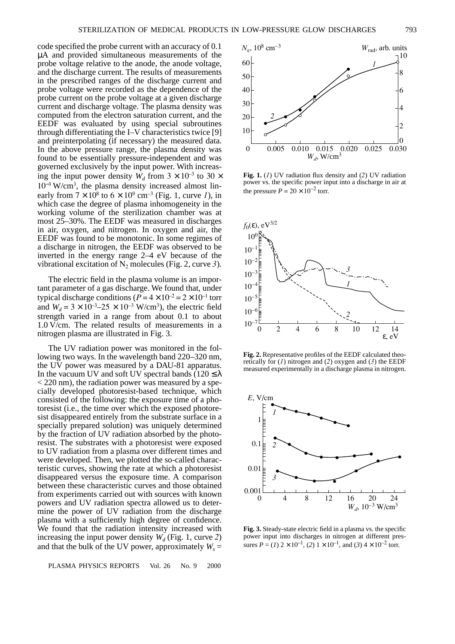code specified the probe current with an accuracy of 0.1 µA and provided simultaneous measurements of the probe voltage relative to the anode, the anode voltage, and the discharge current. The results of measurements in the prescribed ranges of the discharge current and probe voltage were recorded as the dependence of the probe current on the probe voltage at a given discharge current and discharge voltage. The plasma density was computed from the electron saturation current, and the EEDF was evaluated by using special subroutines through differentiating the I–V characteristics twice [9] and preinterpolating (if necessary) the measured data. In the above pressure range, the plasma density was found to be essentially pressure-independent and was governed exclusively by the input power. With increasing the input power density  $W_d$  from  $3 \times 10^{-3}$  to  $30 \times$ 10<sup>−</sup><sup>3</sup> W/cm<sup>3</sup> , the plasma density increased almost linearly from  $7 \times 10^8$  to  $6 \times 10^9$  cm<sup>-3</sup> (Fig. 1, curve *1*), in which case the degree of plasma inhomogeneity in the working volume of the sterilization chamber was at most 25–30%. The EEDF was measured in discharges in air, oxygen, and nitrogen. In oxygen and air, the EEDF was found to be monotonic. In some regimes of a discharge in nitrogen, the EEDF was observed to be inverted in the energy range 2–4 eV because of the vibrational excitation of  $N_2$  molecules (Fig. 2, curve 3).

The electric field in the plasma volume is an important parameter of a gas discharge. We found that, under typical discharge conditions ( $\overline{P}$  = 4 × 10<sup>-2</sup> = 2 × 10<sup>-1</sup> torr and  $W_d = 3 \times 10^{-3} - 25 \times 10^{-3}$  W/cm<sup>3</sup>), the electric field strength varied in a range from about 0.1 to about 1.0 V/cm. The related results of measurements in a nitrogen plasma are illustrated in Fig. 3.

The UV radiation power was monitored in the following two ways. In the wavelength band 220–320 nm, the UV power was measured by a DAU-81 apparatus. In the vacuum UV and soft UV spectral bands  $(120 \le \lambda)$  $<$  220 nm), the radiation power was measured by a specially developed photoresist-based technique, which consisted of the following: the exposure time of a photoresist (i.e., the time over which the exposed photoresist disappeared entirely from the substrate surface in a specially prepared solution) was uniquely determined by the fraction of UV radiation absorbed by the photoresist. The substrates with a photoresist were exposed to UV radiation from a plasma over different times and were developed. Then, we plotted the so-called characteristic curves, showing the rate at which a photoresist disappeared versus the exposure time. A comparison between these characteristic curves and those obtained from experiments carried out with sources with known powers and UV radiation spectra allowed us to determine the power of UV radiation from the discharge plasma with a sufficiently high degree of confidence. We found that the radiation intensity increased with increasing the input power density  $W_d$  (Fig. 1, curve 2) and that the bulk of the UV power, approximately  $W_s =$ 

PLASMA PHYSICS REPORTS Vol. 26 No. 9 2000



**Fig. 1.** (*1*) UV radiation flux density and (*2*) UV radiation power vs. the specific power input into a discharge in air at the pressure  $P = 20 \times 10^{-2}$  torr.



**Fig. 2.** Representative profiles of the EEDF calculated theoretically for (*1*) nitrogen and (*2*) oxygen and (*3*) the EEDF measured experimentally in a discharge plasma in nitrogen.



**Fig. 3.** Steady-state electric field in a plasma vs. the specific power input into discharges in nitrogen at different pressures  $P = (I) 2 \times 10^{-1}$ , (2)  $1 \times 10^{-1}$ , and (3)  $4 \times 10^{-2}$  torr.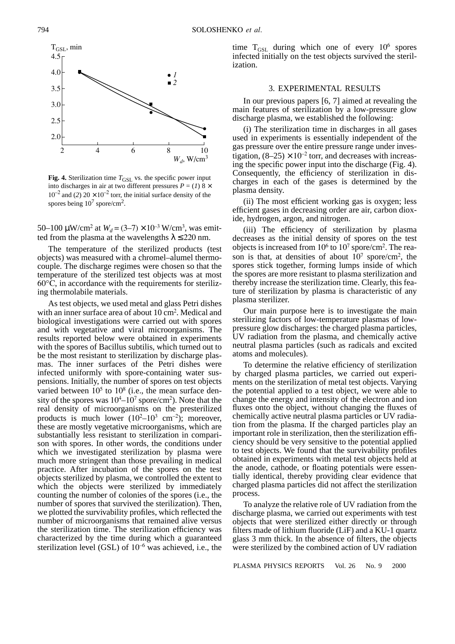

**Fig. 4.** Sterilization time  $T_{GSL}$  vs. the specific power input into discharges in air at two different pressures  $P = (1) 8 \times$  $10^{-2}$  and (2)  $20 \times 10^{-2}$  torr, the initial surface density of the spores being  $10^7$  spore/cm<sup>2</sup>.

50–100  $\mu$ W/cm<sup>2</sup> at  $W_d = (3-7) \times 10^{-3}$  W/cm<sup>3</sup>, was emitted from the plasma at the wavelengths  $\lambda \le 220$  nm.

The temperature of the sterilized products (test objects) was measured with a chromel–alumel thermocouple. The discharge regimes were chosen so that the temperature of the sterilized test objects was at most  $60^{\circ}$ C, in accordance with the requirements for sterilizing thermolabile materials.

As test objects, we used metal and glass Petri dishes with an inner surface area of about 10 cm<sup>2</sup>. Medical and biological investigations were carried out with spores and with vegetative and viral microorganisms. The results reported below were obtained in experiments with the spores of Bacillus subtilis, which turned out to be the most resistant to sterilization by discharge plasmas. The inner surfaces of the Petri dishes were infected uniformly with spore-containing water suspensions. Initially, the number of spores on test objects varied between  $10^5$  to  $10^8$  (i.e., the mean surface density of the spores was  $10^4 - 10^7$  spore/cm<sup>2</sup>). Note that the real density of microorganisms on the presterilized products is much lower  $(10^2 - 10^3 \text{ cm}^{-2})$ ; moreover, these are mostly vegetative microorganisms, which are substantially less resistant to sterilization in comparison with spores. In other words, the conditions under which we investigated sterilization by plasma were much more stringent than those prevailing in medical practice. After incubation of the spores on the test objects sterilized by plasma, we controlled the extent to which the objects were sterilized by immediately counting the number of colonies of the spores (i.e., the number of spores that survived the sterilization). Then, we plotted the survivability profiles, which reflected the number of microorganisms that remained alive versus the sterilization time. The sterilization efficiency was characterized by the time during which a guaranteed sterilization level (GSL) of 10–6 was achieved, i.e., the

time  $T_{GSL}$  during which one of every  $10^6$  spores infected initially on the test objects survived the sterilization.

# 3. EXPERIMENTAL RESULTS

In our previous papers [6, 7] aimed at revealing the main features of sterilization by a low-pressure glow discharge plasma, we established the following:

(i) The sterilization time in discharges in all gases used in experiments is essentially independent of the gas pressure over the entire pressure range under investigation,  $(8-25) \times 10^{-2}$  torr, and decreases with increasing the specific power input into the discharge (Fig. 4). Consequently, the efficiency of sterilization in discharges in each of the gases is determined by the plasma density.

(ii) The most efficient working gas is oxygen; less efficient gases in decreasing order are air, carbon dioxide, hydrogen, argon, and nitrogen.

(iii) The efficiency of sterilization by plasma decreases as the initial density of spores on the test objects is increased from  $10^6$  to  $10^7$  spore/cm<sup>2</sup>. The reason is that, at densities of about  $10^7$  spore/cm<sup>2</sup>, the spores stick together, forming lumps inside of which the spores are more resistant to plasma sterilization and thereby increase the sterilization time. Clearly, this feature of sterilization by plasma is characteristic of any plasma sterilizer.

Our main purpose here is to investigate the main sterilizing factors of low-temperature plasmas of lowpressure glow discharges: the charged plasma particles, UV radiation from the plasma, and chemically active neutral plasma particles (such as radicals and excited atoms and molecules).

To determine the relative efficiency of sterilization by charged plasma particles, we carried out experiments on the sterilization of metal test objects. Varying the potential applied to a test object, we were able to change the energy and intensity of the electron and ion fluxes onto the object, without changing the fluxes of chemically active neutral plasma particles or UV radiation from the plasma. If the charged particles play an important role in sterilization, then the sterilization efficiency should be very sensitive to the potential applied to test objects. We found that the survivability profiles obtained in experiments with metal test objects held at the anode, cathode, or floating potentials were essentially identical, thereby providing clear evidence that charged plasma particles did not affect the sterilization process.

To analyze the relative role of UV radiation from the discharge plasma, we carried out experiments with test objects that were sterilized either directly or through filters made of lithium fluoride (LiF) and a KU-1 quartz glass 3 mm thick. In the absence of filters, the objects were sterilized by the combined action of UV radiation

PLASMA PHYSICS REPORTS Vol. 26 No. 9 2000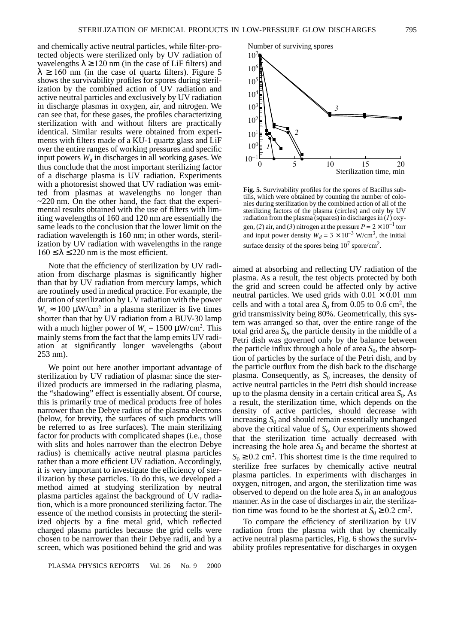and chemically active neutral particles, while filter-protected objects were sterilized only by UV radiation of wavelengths  $\lambda \ge 120$  nm (in the case of LiF filters) and  $\lambda \ge 160$  nm (in the case of quartz filters). Figure 5 shows the survivability profiles for spores during sterilization by the combined action of UV radiation and active neutral particles and exclusively by UV radiation in discharge plasmas in oxygen, air, and nitrogen. We can see that, for these gases, the profiles characterizing sterilization with and without filters are practically identical. Similar results were obtained from experiments with filters made of a KU-1 quartz glass and LiF over the entire ranges of working pressures and specific input powers  $W_d$  in discharges in all working gases. We thus conclude that the most important sterilizing factor of a discharge plasma is UV radiation. Experiments with a photoresist showed that UV radiation was emitted from plasmas at wavelengths no longer than  $\sim$ 220 nm. On the other hand, the fact that the experimental results obtained with the use of filters with limiting wavelengths of 160 and 120 nm are essentially the same leads to the conclusion that the lower limit on the radiation wavelength is 160 nm; in other words, sterilization by UV radiation with wavelengths in the range  $160 \le \lambda \le 220$  nm is the most efficient.

Note that the efficiency of sterilization by UV radiation from discharge plasmas is significantly higher than that by UV radiation from mercury lamps, which are routinely used in medical practice. For example, the duration of sterilization by UV radiation with the power  $W_s \approx 100 \ \mu \text{W/cm}^2$  in a plasma sterilizer is five times shorter than that by UV radiation from a BUV-30 lamp with a much higher power of  $W_s = 1500 \mu W/cm^2$ . This mainly stems from the fact that the lamp emits UV radiation at significantly longer wavelengths (about 253 nm).

We point out here another important advantage of sterilization by UV radiation of plasma: since the sterilized products are immersed in the radiating plasma, the "shadowing" effect is essentially absent. Of course, this is primarily true of medical products free of holes narrower than the Debye radius of the plasma electrons (below, for brevity, the surfaces of such products will be referred to as free surfaces). The main sterilizing factor for products with complicated shapes (i.e., those with slits and holes narrower than the electron Debye radius) is chemically active neutral plasma particles rather than a more efficient UV radiation. Accordingly, it is very important to investigate the efficiency of sterilization by these particles. To do this, we developed a method aimed at studying sterilization by neutral plasma particles against the background of UV radiation, which is a more pronounced sterilizing factor. The essence of the method consists in protecting the sterilized objects by a fine metal grid, which reflected charged plasma particles because the grid cells were chosen to be narrower than their Debye radii, and by a screen, which was positioned behind the grid and was

PLASMA PHYSICS REPORTS Vol. 26 No. 9 2000



**Fig. 5.** Survivability profiles for the spores of Bacillus subtilis, which were obtained by counting the number of colonies during sterilization by the combined action of all of the sterilizing factors of the plasma (circles) and only by UV radiation from the plasma (squares) in discharges in (*1*) oxygen, (2) air, and (3) nitrogen at the pressure  $P = 2 \times 10^{-1}$  torr and input power density  $W_d = 3 \times 10^{-3}$  W/cm<sup>3</sup>, the initial surface density of the spores being  $10^7$  spore/cm<sup>2</sup>.

aimed at absorbing and reflecting UV radiation of the plasma. As a result, the test objects protected by both the grid and screen could be affected only by active neutral particles. We used grids with  $0.01 \times 0.01$  mm cells and with a total area  $S_0$  from 0.05 to 0.6 cm<sup>2</sup>, the grid transmissivity being 80%. Geometrically, this system was arranged so that, over the entire range of the total grid area  $S_0$ , the particle density in the middle of a Petri dish was governed only by the balance between the particle influx through a hole of area  $S_0$ , the absorption of particles by the surface of the Petri dish, and by the particle outflux from the dish back to the discharge plasma. Consequently, as  $S_0$  increases, the density of active neutral particles in the Petri dish should increase up to the plasma density in a certain critical area  $S_0$ . As a result, the sterilization time, which depends on the density of active particles, should decrease with increasing  $S_0$  and should remain essentially unchanged above the critical value of  $S_0$ . Our experiments showed that the sterilization time actually decreased with increasing the hole area  $S_0$  and became the shortest at  $S_0 \ge 0.2$  cm<sup>2</sup>. This shortest time is the time required to sterilize free surfaces by chemically active neutral plasma particles. In experiments with discharges in oxygen, nitrogen, and argon, the sterilization time was observed to depend on the hole area  $S_0$  in an analogous manner. As in the case of discharges in air, the sterilization time was found to be the shortest at  $S_0 \ge 0.2$  cm<sup>2</sup>.

To compare the efficiency of sterilization by UV radiation from the plasma with that by chemically active neutral plasma particles, Fig. 6 shows the survivability profiles representative for discharges in oxygen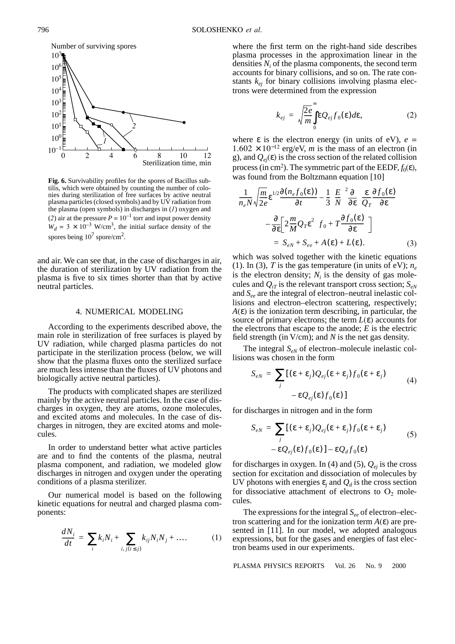

**Fig. 6.** Survivability profiles for the spores of Bacillus subtilis, which were obtained by counting the number of colonies during sterilization of free surfaces by active neutral plasma particles (closed symbols) and by UV radiation from the plasma (open symbols) in discharges in (*1*) oxygen and (2) air at the pressure  $P = 10^{-1}$  torr and input power density  $W_d = 3 \times 10^{-3}$  W/cm<sup>3</sup>, the initial surface density of the spores being  $10^7$  spore/cm<sup>2</sup>.

and air. We can see that, in the case of discharges in air, the duration of sterilization by UV radiation from the plasma is five to six times shorter than that by active neutral particles.

#### 4. NUMERICAL MODELING

According to the experiments described above, the main role in sterilization of free surfaces is played by UV radiation, while charged plasma particles do not participate in the sterilization process (below, we will show that the plasma fluxes onto the sterilized surface are much less intense than the fluxes of UV photons and biologically active neutral particles).

The products with complicated shapes are sterilized mainly by the active neutral particles. In the case of discharges in oxygen, they are atoms, ozone molecules, and excited atoms and molecules. In the case of discharges in nitrogen, they are excited atoms and molecules.

In order to understand better what active particles are and to find the contents of the plasma, neutral plasma component, and radiation, we modeled glow discharges in nitrogen and oxygen under the operating conditions of a plasma sterilizer.

Our numerical model is based on the following kinetic equations for neutral and charged plasma components:

$$
\frac{dN_i}{dt} = \sum_i k_i N_i + \sum_{i, j(i \le j)} k_{ij} N_i N_j + \dots \tag{1}
$$

where the first term on the right-hand side describes plasma processes in the approximation linear in the densities  $N_i$  of the plasma components, the second term accounts for binary collisions, and so on. The rate constants *kej* for binary collisions involving plasma electrons were determined from the expression

$$
k_{ej} = \sqrt{\frac{2e}{m}} \int_{0}^{\infty} \varepsilon Q_{ej} f_0(\varepsilon) d\varepsilon, \qquad (2)
$$

where  $\varepsilon$  is the electron energy (in units of eV),  $e =$  $1.602 \times 10^{-12}$  erg/eV, *m* is the mass of an electron (in g), and  $Q_{ei}(\varepsilon)$  is the cross section of the related collision process (in cm<sup>2</sup>). The symmetric part of the EEDF,  $f_0(\varepsilon)$ , was found from the Boltzmann equation [10]

$$
\frac{1}{n_e N} \sqrt{\frac{m}{2e}} \varepsilon^{1/2} \frac{\partial (n_e f_0(\varepsilon))}{\partial t} - \frac{1}{3} \left(\frac{E}{N}\right)^2 \frac{\partial}{\partial \varepsilon} \left(\frac{\varepsilon}{Q_T} \frac{\partial f_0(\varepsilon)}{\partial \varepsilon}\right)
$$

$$
- \frac{\partial}{\partial \varepsilon} \left[2 \frac{m}{M} Q_T \varepsilon^2 \left(f_0 + T \frac{\partial f_0(\varepsilon)}{\partial \varepsilon}\right)\right]
$$

$$
= S_{eN} + S_{ee} + A(\varepsilon) + L(\varepsilon).
$$
(3)

which was solved together with the kinetic equations (1). In (3), *T* is the gas temperature (in units of eV);  $n_e$ is the electron density;  $N_i$  is the density of gas molecules and  $Q_{iT}$  is the relevant transport cross section;  $S_{\ell N}$ and *See* are the integral of electron–neutral inelastic collisions and electron–electron scattering, respectively;  $A(\varepsilon)$  is the ionization term describing, in particular, the source of primary electrons; the term *L*(ε) accounts for the electrons that escape to the anode; *E* is the electric field strength (in V/cm); and *N* is the net gas density.

The integral  $S_{eN}$  of electron–molecule inelastic collisions was chosen in the form

$$
S_{eN} = \sum_{j} [(\varepsilon + \varepsilon_{j}) Q_{ej}(\varepsilon + \varepsilon_{j}) f_{0}(\varepsilon + \varepsilon_{j}) - \varepsilon Q_{ej}(\varepsilon) f_{0}(\varepsilon)] \tag{4}
$$

for discharges in nitrogen and in the form

$$
S_{eN} = \sum_{j} [(\varepsilon + \varepsilon_{j}) Q_{ej}(\varepsilon + \varepsilon_{j}) f_{0}(\varepsilon + \varepsilon_{j}) - \varepsilon Q_{ej}(\varepsilon) f_{0}(\varepsilon)] - \varepsilon Q_{df} f_{0}(\varepsilon)
$$
\n(5)

for discharges in oxygen. In (4) and (5),  $Q_{ei}$  is the cross section for excitation and dissociation of molecules by UV photons with energies  $\varepsilon_j$  and  $Q_d$  is the cross section for dissociative attachment of electrons to  $O_2$  molecules.

The expressions for the integral *See* of electron–electron scattering and for the ionization term  $A(\varepsilon)$  are presented in [11]. In our model, we adopted analogous expressions, but for the gases and energies of fast electron beams used in our experiments.

PLASMA PHYSICS REPORTS Vol. 26 No. 9 2000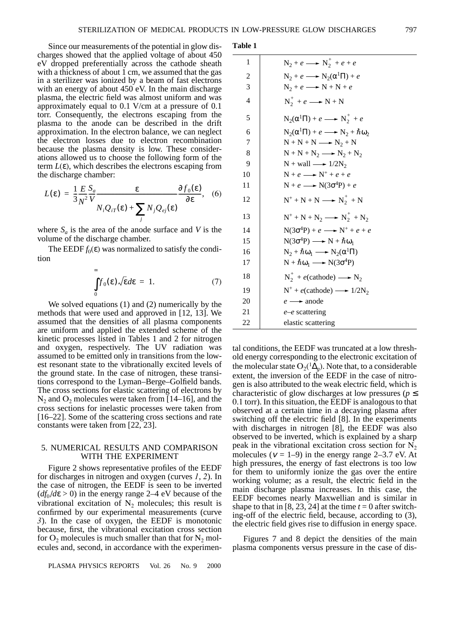Since our measurements of the potential in glow discharges showed that the applied voltage of about 450 eV dropped preferentially across the cathode sheath with a thickness of about  $1 \text{ cm}$ , we assumed that the gas in a sterilizer was ionized by a beam of fast electrons with an energy of about 450 eV. In the main discharge plasma, the electric field was almost uniform and was approximately equal to 0.1 V/cm at a pressure of 0.1 torr. Consequently, the electrons escaping from the plasma to the anode can be described in the drift approximation. In the electron balance, we can neglect the electron losses due to electron recombination because the plasma density is low. These considerations allowed us to choose the following form of the term  $L(\varepsilon)$ , which describes the electrons escaping from the discharge chamber:

$$
L(\varepsilon) = \frac{1}{3} \frac{E}{N^2} \frac{S_a}{V} \frac{\varepsilon}{N_i Q_{iT}(\varepsilon) + \sum_j N_j Q_{ej}(\varepsilon)} \frac{\partial f_0(\varepsilon)}{\partial \varepsilon}, \quad (6)
$$

where  $S_a$  is the area of the anode surface and *V* is the volume of the discharge chamber.

The EEDF  $f_0(\varepsilon)$  was normalized to satisfy the condition

$$
\int_{0}^{\infty} f_0(\varepsilon) \sqrt{\varepsilon} d\varepsilon = 1.
$$
 (7)

We solved equations (1) and (2) numerically by the methods that were used and approved in [12, 13]. We assumed that the densities of all plasma components are uniform and applied the extended scheme of the kinetic processes listed in Tables 1 and 2 for nitrogen and oxygen, respectively. The UV radiation was assumed to be emitted only in transitions from the lowest resonant state to the vibrationally excited levels of the ground state. In the case of nitrogen, these transitions correspond to the Lyman–Berge–Golfield bands. The cross sections for elastic scattering of electrons by  $N_2$  and  $O_2$  molecules were taken from [14–16], and the cross sections for inelastic processes were taken from [16–22]. Some of the scattering cross sections and rate constants were taken from [22, 23].

#### 5. NUMERICAL RESULTS AND COMPARISON WITH THE EXPERIMENT

Figure 2 shows representative profiles of the EEDF for discharges in nitrogen and oxygen (curves *1*, *2*). In the case of nitrogen, the EEDF is seen to be inverted  $(df<sub>0</sub>/d\varepsilon > 0)$  in the energy range 2–4 eV because of the vibrational excitation of  $N_2$  molecules; this result is confirmed by our experimental measurements (curve *3*). In the case of oxygen, the EEDF is monotonic because, first, the vibrational excitation cross section for  $O_2$  molecules is much smaller than that for  $N_2$  molecules and, second, in accordance with the experimen-

PLASMA PHYSICS REPORTS Vol. 26 No. 9 2000

**Table 1**

| 1  | $N_2 + e \longrightarrow N_2^+ + e + e$                    |
|----|------------------------------------------------------------|
| 2  | $N_2 + e \longrightarrow N_2(\alpha^1\Pi) + e$             |
| 3  | $N_2 + e \longrightarrow N + N + e$                        |
| 4  | $N_2^+ + e \longrightarrow N + N$                          |
| 5  | $N_2(\alpha^1\Pi) + e \longrightarrow N_2^+ + e$           |
| 6  | $N_2(\alpha^1\Pi) + e \longrightarrow N_2 + \hbar\omega_2$ |
| 7  | $N + N + N \longrightarrow N_2 + N$                        |
| 8  | $N + N + N_2 \longrightarrow N_2 + N_2$                    |
| 9  | $N + wall \longrightarrow 1/2N_2$                          |
| 10 | $N + e \longrightarrow N^+ + e + e$                        |
| 11 | $N + e \longrightarrow N(3\sigma^4P) + e$                  |
| 12 | $N^+ + N + N \longrightarrow N_2^+ + N$                    |
| 13 | $N^+ + N + N_2 \longrightarrow N_2^+ + N_2$                |
| 14 | $N(3\sigma^4P) + e \longrightarrow N^+ + e + e$            |
| 15 | $N(3\sigma^4P) \longrightarrow N + \hbar \omega_1$         |
| 16 | $N_2 + \hbar \omega_1 \longrightarrow N_2(\alpha^1 \Pi)$   |
| 17 | $N + \hbar \omega_1 \longrightarrow N(3\sigma^4P)$         |
| 18 | $N_2^+$ + e(cathode) $\longrightarrow N_2$                 |
| 19 | $N^+ + e$ (cathode) $\longrightarrow 1/2N_2$               |
| 20 | $e \rightarrow$ anode                                      |
| 21 | $e$ -e scattering                                          |
| 22 | elastic scattering                                         |

tal conditions, the EEDF was truncated at a low threshold energy corresponding to the electronic excitation of the molecular state  $O_2(^1\Delta_g)$ . Note that, to a considerable extent, the inversion of the EEDF in the case of nitrogen is also attributed to the weak electric field, which is characteristic of glow discharges at low pressures ( $p \leq$ 0.1 torr). In this situation, the EEDF is analogous to that observed at a certain time in a decaying plasma after switching off the electric field [8]. In the experiments with discharges in nitrogen [8], the EEDF was also observed to be inverted, which is explained by a sharp peak in the vibrational excitation cross section for  $N_2$ molecules ( $v = 1-9$ ) in the energy range 2–3.7 eV. At high pressures, the energy of fast electrons is too low for them to uniformly ionize the gas over the entire working volume; as a result, the electric field in the main discharge plasma increases. In this case, the EEDF becomes nearly Maxwellian and is similar in shape to that in [8, 23, 24] at the time  $t = 0$  after switching-off of the electric field, because, according to (3), the electric field gives rise to diffusion in energy space.

Figures 7 and 8 depict the densities of the main plasma components versus pressure in the case of dis-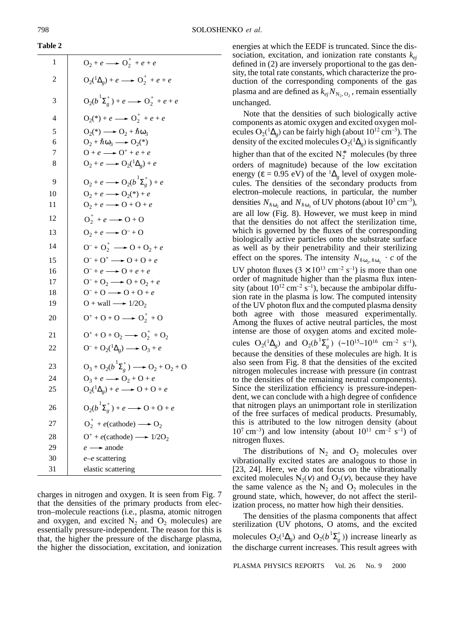| `able |  |
|-------|--|
|-------|--|

| $0_2 + e \longrightarrow 0_2^+ + e + e$<br>1<br>$O_2(^1\Delta_g)+e \longrightarrow O_2^+ +e+e$<br>$\overline{c}$<br>$O_2(b^1\Sigma_g^+) + e \longrightarrow O_2^+ + e + e$<br>3 |  |
|---------------------------------------------------------------------------------------------------------------------------------------------------------------------------------|--|
|                                                                                                                                                                                 |  |
|                                                                                                                                                                                 |  |
|                                                                                                                                                                                 |  |
| $O_2(*) + e \longrightarrow O_2^+ + e + e$<br>4                                                                                                                                 |  |
| 5<br>$O_2(*) \longrightarrow O_2 + \hbar \omega_3$                                                                                                                              |  |
| $O_2 + \hbar \omega_3 \longrightarrow O_2(*)$<br>6                                                                                                                              |  |
| $0+e \longrightarrow 0^+ + e + e$<br>$\overline{7}$                                                                                                                             |  |
| $O_2 + e \longrightarrow O_2(^1\Delta_e) + e$<br>8                                                                                                                              |  |
| $O_2 + e \longrightarrow O_2(b^{\perp} \Sigma_g^+) + e$<br>9                                                                                                                    |  |
| $O_2 + e \longrightarrow O_2(*) + e$<br>10                                                                                                                                      |  |
| $0_2 + e \rightarrow 0 + 0 + e$<br>11                                                                                                                                           |  |
| $O_2^+ + e \longrightarrow O + O$<br>12                                                                                                                                         |  |
| $0_2 + e \rightarrow 0^- + 0$<br>13                                                                                                                                             |  |
| $0^-+0^+$ $\longrightarrow$ $0+0_2+e$<br>14                                                                                                                                     |  |
| $0^- + 0^+ \longrightarrow 0 + 0 + e$<br>15                                                                                                                                     |  |
| $0^- + e \rightarrow 0 + e + e$<br>16                                                                                                                                           |  |
| $0^- + 0_2 \rightarrow 0 + 0_2 + e$<br>17                                                                                                                                       |  |
| $0^-$ + O $\longrightarrow$ O + O + e<br>18                                                                                                                                     |  |
| $O + wall \longrightarrow 1/2O_2$<br>19                                                                                                                                         |  |
| $0^+$ + O + O $\longrightarrow$ O <sub>2</sub> <sup>+</sup> + O<br>20                                                                                                           |  |
| $O^+ + O + O_2 \longrightarrow O_2^+ + O_2$<br>21                                                                                                                               |  |
| $O^{-} + O_2(^{1} \Delta_g) \longrightarrow O_3 + e$<br>22                                                                                                                      |  |
| $O_3 + O_2(b^1\Sigma_g^+) \longrightarrow O_2 + O_2 + O_1$<br>23                                                                                                                |  |
| $O_3 + e \longrightarrow O_2 + O + e$<br>24                                                                                                                                     |  |
| $O_2(^1\Delta_g)+e \longrightarrow O+O+e$<br>25                                                                                                                                 |  |
| $O_2(b^2\Sigma_g^+) + e \longrightarrow O + O + e$<br>26                                                                                                                        |  |
| $O_2^+$ + e(cathode) $\longrightarrow$ O <sub>2</sub><br>27                                                                                                                     |  |
| $O^+ + e$ (cathode) $\longrightarrow 1/2O_2$<br>28                                                                                                                              |  |
| 29<br>$e \rightarrow$ anode                                                                                                                                                     |  |
| 30<br>$e$ -e scattering                                                                                                                                                         |  |
| elastic scattering<br>31                                                                                                                                                        |  |

charges in nitrogen and oxygen. It is seen from Fig. 7 that the densities of the primary products from electron–molecule reactions (i.e., plasma, atomic nitrogen and oxygen, and excited  $N_2$  and  $O_2$  molecules) are essentially pressure-independent. The reason for this is that, the higher the pressure of the discharge plasma, the higher the dissociation, excitation, and ionization energies at which the EEDF is truncated. Since the dissociation, excitation, and ionization rate constants  $k_{ei}$ defined in (2) are inversely proportional to the gas density, the total rate constants, which characterize the production of the corresponding components of the gas plasma and are defined as  $k_{ej}N_{\rm N_2,\,O_2}$ , remain essentially unchanged.

Note that the densities of such biologically active components as atomic oxygen and excited oxygen molecules  $O_2(^1\Delta_g)$  can be fairly high (about  $10^{12}$  cm<sup>-3</sup>). The density of the excited molecules  $O_2(1\Delta_g)$  is significantly higher than that of the excited  $N_2^*$  molecules (by three orders of magnitude) because of the low excitation energy ( $\varepsilon = 0.95$  eV) of the <sup>1</sup> $\Delta_g$  level of oxygen molecules. The densities of the secondary products from electron–molecule reactions, in particular, the number densities  $N_{\hbar\omega_2}$  and  $N_{\hbar\omega_3}$  of UV photons (about  $10^3 \text{ cm}^{-3}$ ), are all low (Fig. 8). However, we must keep in mind that the densities do not affect the sterilization time, which is governed by the fluxes of the corresponding biologically active particles onto the substrate surface as well as by their penetrability and their sterilizing effect on the spores. The intensity  $N_{\hbar\omega_2,\hbar\omega_3} \cdot c$  of the UV photon fluxes  $(3 \times 10^{13} \text{ cm}^{-2} \text{ s}^{-1})$  is more than one order of magnitude higher than the plasma flux intensity (about  $10^{12}$  cm<sup>-2</sup> s<sup>-1</sup>), because the ambipolar diffusion rate in the plasma is low. The computed intensity of the UV photon flux and the computed plasma density both agree with those measured experimentally. Among the fluxes of active neutral particles, the most intense are those of oxygen atoms and excited molecules  $O_2(^1\Delta_g)$  and  $O_2(b^1\Sigma_g^+)$  (~10<sup>15</sup>–10<sup>16</sup> cm<sup>-2</sup> s<sup>-1</sup>), because the densities of these molecules are high. It is also seen from Fig. 8 that the densities of the excited nitrogen molecules increase with pressure (in contrast to the densities of the remaining neutral components). Since the sterilization efficiency is pressure-independent, we can conclude with a high degree of confidence that nitrogen plays an unimportant role in sterilization of the free surfaces of medical products. Presumably, this is attributed to the low nitrogen density (about  $10^7 \text{ cm}^{-3}$ ) and low intensity (about  $10^{11} \text{ cm}^{-2} \text{ s}^{-1}$ ) of nitrogen fluxes. *g*

The distributions of  $N_2$  and  $O_2$  molecules over vibrationally excited states are analogous to those in [23, 24]. Here, we do not focus on the vibrationally excited molecules  $N_2(v)$  and  $O_2(v)$ , because they have the same valence as the  $N_2$  and  $O_2$  molecules in the ground state, which, however, do not affect the sterilization process, no matter how high their densities.

The densities of the plasma components that affect sterilization (UV photons, O atoms, and the excited molecules  $O_2(^1\Delta_g)$  and  $O_2(b^1\Sigma_g^+)$  increase linearly as the discharge current increases. This result agrees with *g*

PLASMA PHYSICS REPORTS Vol. 26 No. 9 2000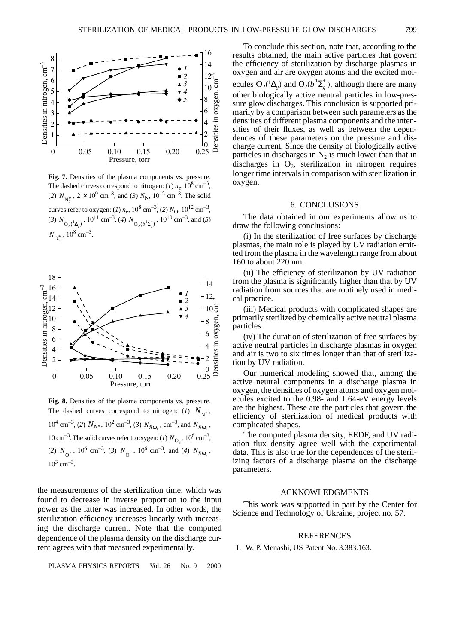

**Fig. 7.** Densities of the plasma components vs. pressure. The dashed curves correspond to nitrogen:  $(I) n_e$ ,  $10^8 \text{ cm}^{-3}$ , (2)  $N_{N_2^*}$ ,  $2 \times 10^9$  cm<sup>-3</sup>, and (3)  $N_N$ ,  $10^{12}$  cm<sup>-3</sup>. The solid curves refer to oxygen: (*1*)  $n_e$ ,  $10^8 \text{ cm}^{-3}$ , (2)  $N_{\text{O}}$ ,  $10^{12} \text{ cm}^{-3}$ , (3)  $N_{\mathcal{O}_2(\frac{1}{\Delta_g})}$ , 10<sup>11</sup> cm<sup>-3</sup>, (4)  $N_{\mathcal{O}_2(b^{\frac{1}{2}}\mathcal{F}_g^+)}$ , 10<sup>10</sup> cm<sup>-3</sup>, and (5)  $N_{\text{O}_2^*}$ , 10<sup>8</sup> cm<sup>-3</sup>.



**Fig. 8.** Densities of the plasma components vs. pressure. The dashed curves correspond to nitrogen: (*1*)  $N_{N^+}$ ,  $10^4$  cm<sup>-3</sup>, (2)  $N_{\text{N*}}$ ,  $10^2$  cm<sup>-3</sup>, (3)  $N_{\hbar\omega_1}$ , cm<sup>-3</sup>, and  $N_{\hbar\omega_2}$ , 10 cm<sup>-3</sup>. The solid curves refer to oxygen: (*1*)  $N_{\text{O}_3}$ , 10<sup>6</sup> cm<sup>-3</sup>, (2)  $N_{\text{O}^+}$ , 10<sup>6</sup> cm<sup>-3</sup>, (3)  $N_{\text{O}^-}$ , 10<sup>6</sup> cm<sup>-3</sup>, and (4)  $N_{\hbar\omega_3}$ ,  $10^3$  cm<sup>-3</sup>.

the measurements of the sterilization time, which was found to decrease in inverse proportion to the input power as the latter was increased. In other words, the sterilization efficiency increases linearly with increasing the discharge current. Note that the computed dependence of the plasma density on the discharge current agrees with that measured experimentally.

PLASMA PHYSICS REPORTS Vol. 26 No. 9 2000

To conclude this section, note that, according to the results obtained, the main active particles that govern the efficiency of sterilization by discharge plasmas in oxygen and air are oxygen atoms and the excited molecules  $O_2(^1\Delta_g)$  and  $O_2(b^1\Sigma_g^+)$ , although there are many other biologically active neutral particles in low-pressure glow discharges. This conclusion is supported primarily by a comparison between such parameters as the densities of different plasma components and the intensities of their fluxes, as well as between the dependences of these parameters on the pressure and discharge current. Since the density of biologically active particles in discharges in  $N_2$  is much lower than that in discharges in  $O<sub>2</sub>$ , sterilization in nitrogen requires longer time intervals in comparison with sterilization in oxygen. *g*

#### 6. CONCLUSIONS

The data obtained in our experiments allow us to draw the following conclusions:

(i) In the sterilization of free surfaces by discharge plasmas, the main role is played by UV radiation emitted from the plasma in the wavelength range from about 160 to about 220 nm.

(ii) The efficiency of sterilization by UV radiation from the plasma is significantly higher than that by UV radiation from sources that are routinely used in medical practice.

(iii) Medical products with complicated shapes are primarily sterilized by chemically active neutral plasma particles.

(iv) The duration of sterilization of free surfaces by active neutral particles in discharge plasmas in oxygen and air is two to six times longer than that of sterilization by UV radiation.

Our numerical modeling showed that, among the active neutral components in a discharge plasma in oxygen, the densities of oxygen atoms and oxygen molecules excited to the 0.98- and 1.64-eV energy levels are the highest. These are the particles that govern the efficiency of sterilization of medical products with complicated shapes.

The computed plasma density, EEDF, and UV radiation flux density agree well with the experimental data. This is also true for the dependences of the sterilizing factors of a discharge plasma on the discharge parameters.

#### ACKNOWLEDGMENTS

This work was supported in part by the Center for Science and Technology of Ukraine, project no. 57.

#### **REFERENCES**

1. W. P. Menashi, US Patent No. 3.383.163.